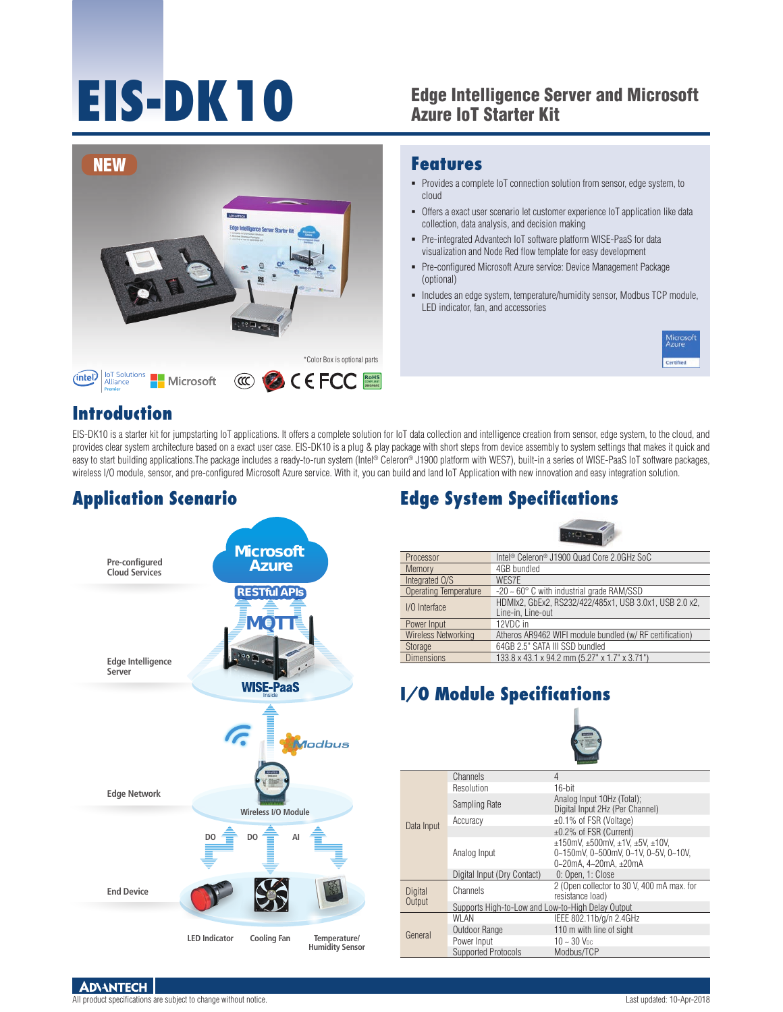# **EIS-DK10**

#### Edge Intelligence Server and Microsoft Azure IoT Starter Kit



#### **Features**

- Provides a complete IoT connection solution from sensor, edge system, to cloud
- Offers a exact user scenario let customer experience IoT application like data collection, data analysis, and decision making
- Pre-integrated Advantech IoT software platform WISE-PaaS for data visualization and Node Red flow template for easy development
- Pre-configured Microsoft Azure service: Device Management Package (optional)
- Includes an edge system, temperature/humidity sensor, Modbus TCP module, LED indicator, fan, and accessories



#### **Introduction**

EIS-DK10 is a starter kit for jumpstarting IoT applications. It offers a complete solution for IoT data collection and intelligence creation from sensor, edge system, to the cloud, and provides clear system architecture based on a exact user case. EIS-DK10 is a plug & play package with short steps from device assembly to system settings that makes it quick and easy to start building applications. The package includes a ready-to-run system (Intel® Celeron® J1900 platform with WES7), built-in a series of WISE-PaaS IoT software packages, wireless I/O module, sensor, and pre-configured Microsoft Azure service. With it, you can build and land IoT Application with new innovation and easy integration solution.

## **Application Scenario**



# **Edge System Specifications**



| Processor                    | Intel <sup>®</sup> Celeron <sup>®</sup> J1900 Quad Core 2.0GHz SoC          |
|------------------------------|-----------------------------------------------------------------------------|
| Memory                       | 4GB bundled                                                                 |
| Integrated O/S               | WES7E                                                                       |
| <b>Operating Temperature</b> | $-20 \sim 60^\circ$ C with industrial grade RAM/SSD                         |
| I/O Interface                | HDMIx2, GbEx2, RS232/422/485x1, USB 3.0x1, USB 2.0 x2,<br>Line-in. Line-out |
| Power Input                  | 12VDC in                                                                    |
| Wireless Networking          | Atheros AR9462 WIFI module bundled (w/RF certification)                     |
| Storage                      | 64GB 2.5" SATA III SSD bundled                                              |
| <b>Dimensions</b>            | 133.8 x 43.1 x 94.2 mm (5.27" x 1.7" x 3.71")                               |

# **I/O Module Specifications**



| Data Input | Channels                                          | 4                                                                                                               |  |  |  |  |  |
|------------|---------------------------------------------------|-----------------------------------------------------------------------------------------------------------------|--|--|--|--|--|
|            | Resolution                                        | $16$ -bit                                                                                                       |  |  |  |  |  |
|            | Sampling Rate                                     | Analog Input 10Hz (Total);<br>Digital Input 2Hz (Per Channel)                                                   |  |  |  |  |  |
|            | Accuracy                                          | ±0.1% of FSR (Voltage)                                                                                          |  |  |  |  |  |
|            |                                                   | $\pm 0.2\%$ of FSR (Current)                                                                                    |  |  |  |  |  |
|            | Analog Input                                      | $±150$ mV, $±500$ mV, $±1V$ , $±5V$ , $±10V$ ,<br>0~150mV, 0~500mV, 0~1V, 0~5V, 0~10V,<br>0~20mA, 4~20mA, ±20mA |  |  |  |  |  |
|            | Digital Input (Dry Contact)                       | 0: Open, 1: Close                                                                                               |  |  |  |  |  |
| Digital    | Channels                                          | 2 (Open collector to 30 V, 400 mA max. for<br>resistance load)                                                  |  |  |  |  |  |
| Output     | Supports High-to-Low and Low-to-High Delay Output |                                                                                                                 |  |  |  |  |  |
| General    | <b>WLAN</b>                                       | IEEE 802.11b/g/n 2.4GHz                                                                                         |  |  |  |  |  |
|            | Outdoor Range                                     | 110 m with line of sight                                                                                        |  |  |  |  |  |
|            | Power Input                                       | $10 - 30$ V <sub>pc</sub>                                                                                       |  |  |  |  |  |
|            | Supported Protocols                               | Modbus/TCP                                                                                                      |  |  |  |  |  |